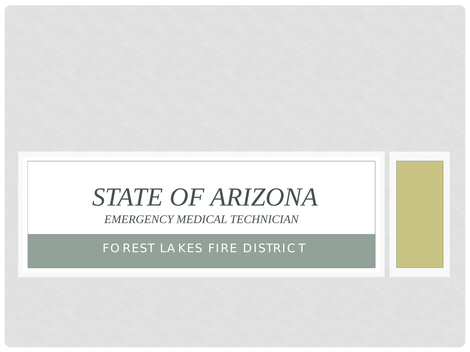# *STATE OF ARIZONA*

*EMERGENCY MEDICAL TECHNICIAN*

FOREST LAKES FIRE DISTRICT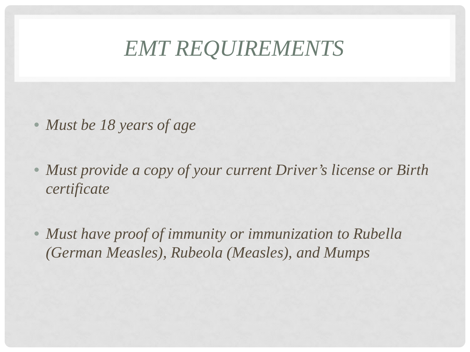# *EMT REQUIREMENTS*

- *Must be 18 years of age*
- *Must provide a copy of your current Driver's license or Birth certificate*
- *Must have proof of immunity or immunization to Rubella (German Measles), Rubeola (Measles), and Mumps*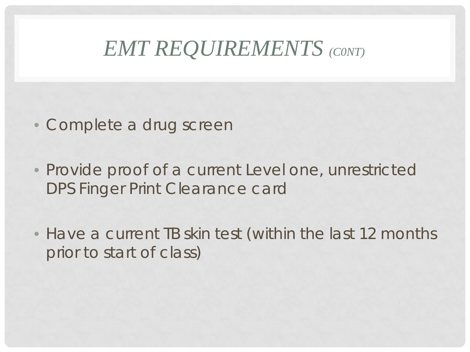#### *EMT REQUIREMENTS (C0NT)*

- *Complete a drug screen*
- *Provide proof of a current Level one, unrestricted DPS Finger Print Clearance card*
- *Have a current TB skin test (within the last 12 months prior to start of class)*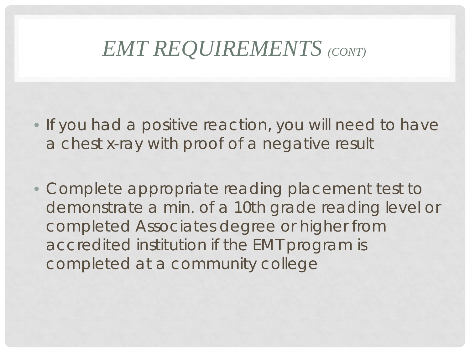#### *EMT REQUIREMENTS (CONT)*

- *If you had a positive reaction, you will need to have a chest x-ray with proof of a negative result*
- *Complete appropriate reading placement test to demonstrate a min. of a 10th grade reading level or completed Associates degree or higher from accredited institution if the EMT program is completed at a community college*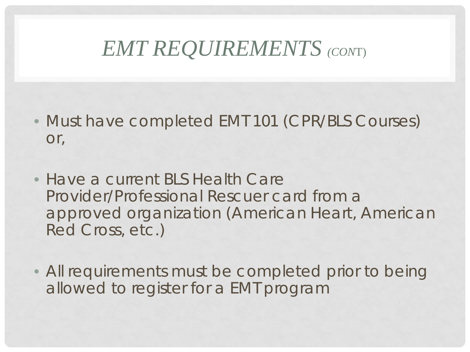## *EMT REQUIREMENTS (CON*T)

- *Must have completed EMT 101 (CPR/BLS Courses) or,*
- *Have a current BLS Health Care Provider/Professional Rescuer card from a approved organization (American Heart, American Red Cross, etc.)*
- *All requirements must be completed prior to being allowed to register for a EMT program*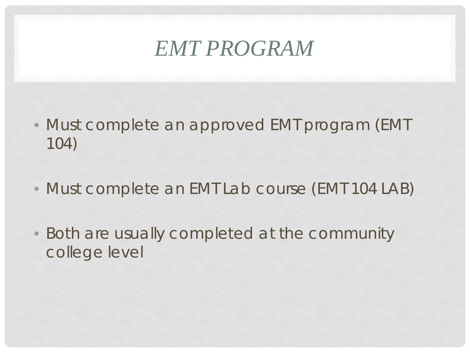# *EMT PROGRAM*

- *Must complete an approved EMT program (EMT 104)*
- *Must complete an EMT Lab course (EMT 104 LAB)*
- *Both are usually completed at the community college level*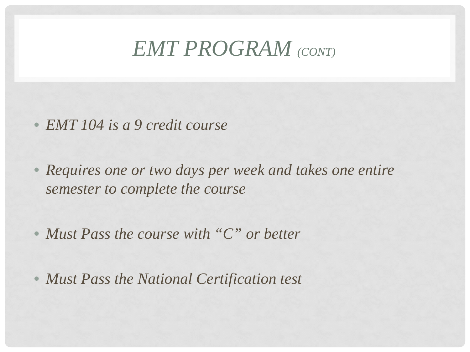#### *EMT PROGRAM (CONT)*

- *EMT 104 is a 9 credit course*
- *Requires one or two days per week and takes one entire semester to complete the course*
- *Must Pass the course with "C" or better*
- *Must Pass the National Certification test*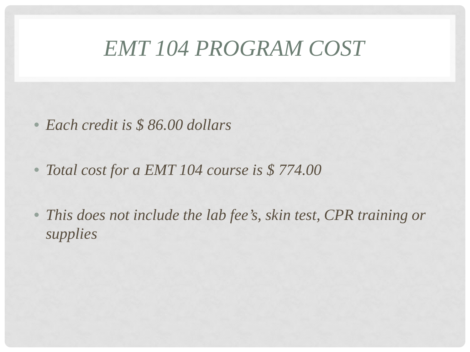#### *EMT 104 PROGRAM COST*

- *Each credit is \$ 86.00 dollars*
- *Total cost for a EMT 104 course is \$ 774.00*
- This does not include the lab fee's, skin test, CPR training or *supplies*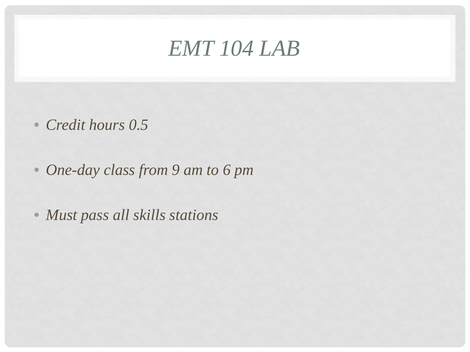#### *EMT 104 LAB*

- *Credit hours 0.5*
- *One-day class from 9 am to 6 pm*
- *Must pass all skills stations*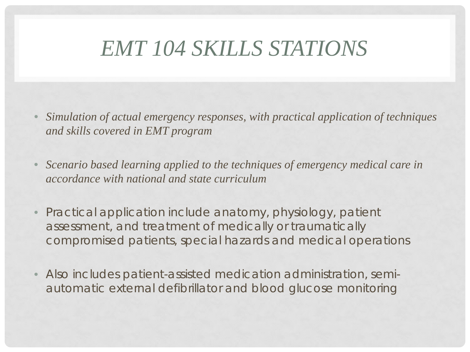# *EMT 104 SKILLS STATIONS*

- *Simulation of actual emergency responses, with practical application of techniques and skills covered in EMT program*
- *Scenario based learning applied to the techniques of emergency medical care in accordance with national and state curriculum*
- *Practical application include anatomy, physiology, patient assessment, and treatment of medically or traumatically compromised patients, special hazards and medical operations*
- *Also includes patient-assisted medication administration, semiautomatic external defibrillator and blood glucose monitoring*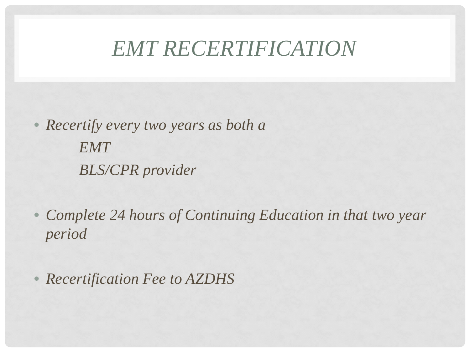## *EMT RECERTIFICATION*

• *Recertify every two years as both a EMT BLS/CPR provider*

• Complete 24 hours of Continuing Education in that two year *period*

• *Recertification Fee to AZDHS*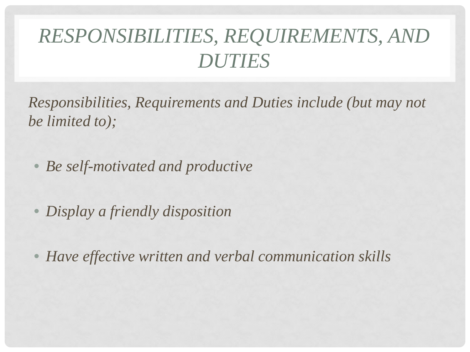*Responsibilities, Requirements and Duties include (but may not be limited to);*

• *Be self-motivated and productive*

• *Display a friendly disposition* 

• *Have effective written and verbal communication skills*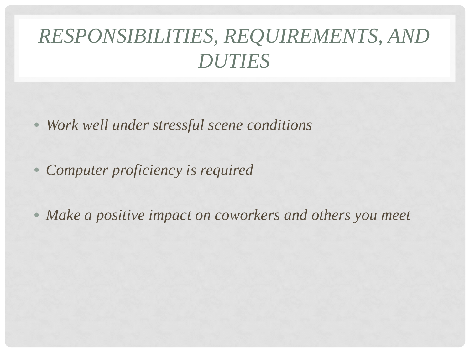- *Work well under stressful scene conditions*
- *Computer proficiency is required*
- *Make a positive impact on coworkers and others you meet*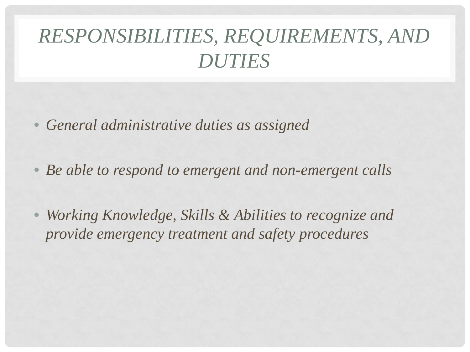- *General administrative duties as assigned*
- *Be able to respond to emergent and non-emergent calls*
- *Working Knowledge, Skills & Abilities to recognize and provide emergency treatment and safety procedures*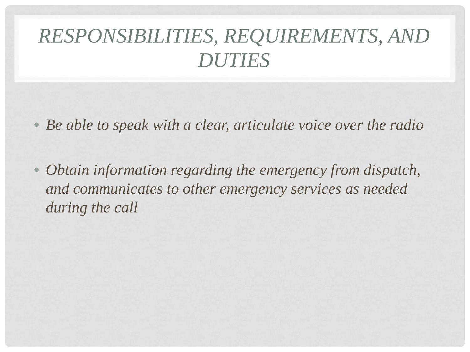- *Be able to speak with a clear, articulate voice over the radio*
- *Obtain information regarding the emergency from dispatch, and communicates to other emergency services as needed during the call*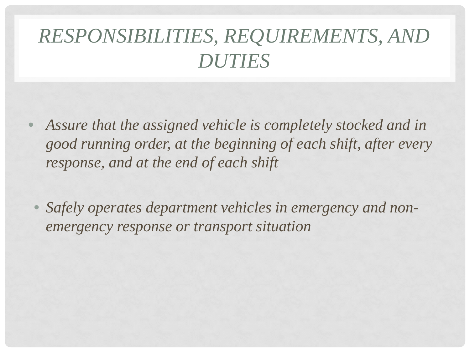- *Assure that the assigned vehicle is completely stocked and in good running order, at the beginning of each shift, after every response, and at the end of each shift*
- *Safely operates department vehicles in emergency and nonemergency response or transport situation*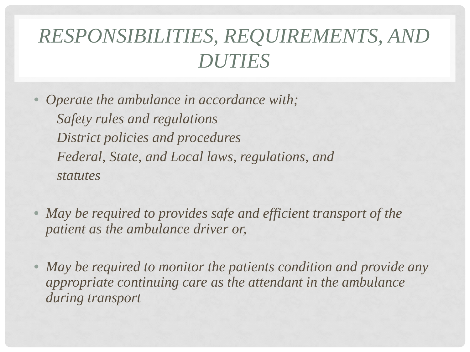• *Operate the ambulance in accordance with; Safety rules and regulations District policies and procedures Federal, State, and Local laws, regulations, and statutes*

• *May be required to provides safe and efficient transport of the patient as the ambulance driver or,*

• *May be required to monitor the patients condition and provide any appropriate continuing care as the attendant in the ambulance during transport*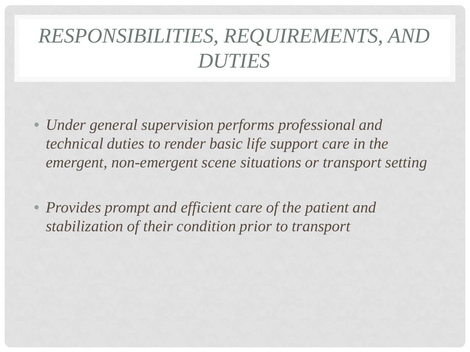- *Under general supervision performs professional and technical duties to render basic life support care in the emergent, non-emergent scene situations or transport setting*
- *Provides prompt and efficient care of the patient and stabilization of their condition prior to transport*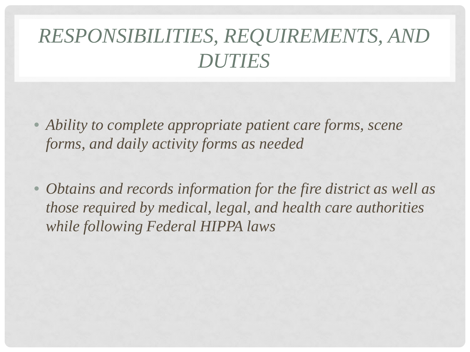- *Ability to complete appropriate patient care forms, scene forms, and daily activity forms as needed*
- *Obtains and records information for the fire district as well as those required by medical, legal, and health care authorities while following Federal HIPPA laws*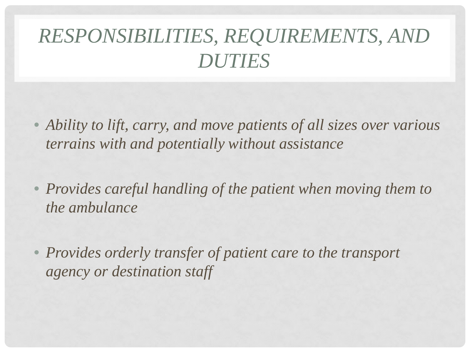- *Ability to lift, carry, and move patients of all sizes over various terrains with and potentially without assistance*
- *Provides careful handling of the patient when moving them to the ambulance*
- *Provides orderly transfer of patient care to the transport agency or destination staff*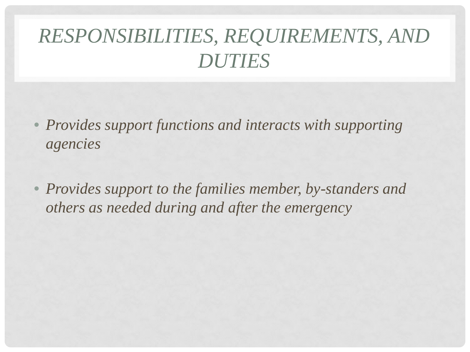- *Provides support functions and interacts with supporting agencies*
- *Provides support to the families member, by-standers and others as needed during and after the emergency*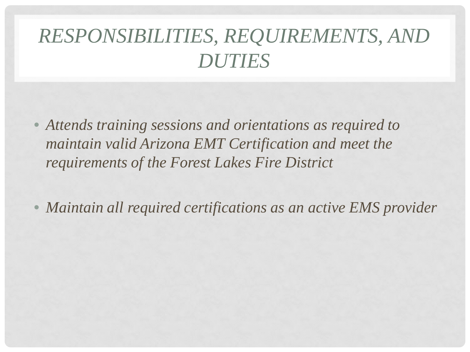• *Attends training sessions and orientations as required to maintain valid Arizona EMT Certification and meet the requirements of the Forest Lakes Fire District*

• *Maintain all required certifications as an active EMS provider*